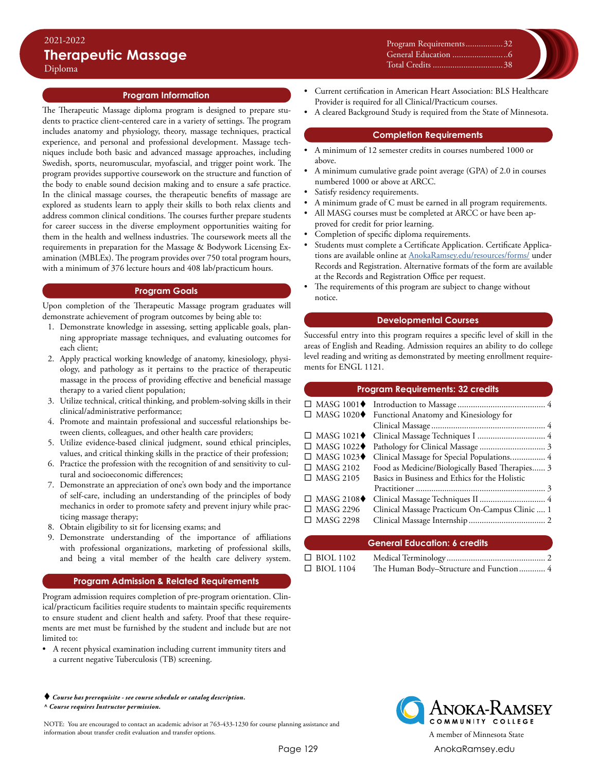## **Program Information**

The Therapeutic Massage diploma program is designed to prepare students to practice client-centered care in a variety of settings. The program includes anatomy and physiology, theory, massage techniques, practical experience, and personal and professional development. Massage techniques include both basic and advanced massage approaches, including Swedish, sports, neuromuscular, myofascial, and trigger point work. The program provides supportive coursework on the structure and function of the body to enable sound decision making and to ensure a safe practice. In the clinical massage courses, the therapeutic benefits of massage are explored as students learn to apply their skills to both relax clients and address common clinical conditions. The courses further prepare students for career success in the diverse employment opportunities waiting for them in the health and wellness industries. The coursework meets all the requirements in preparation for the Massage & Bodywork Licensing Examination (MBLEx). The program provides over 750 total program hours, with a minimum of 376 lecture hours and 408 lab/practicum hours.

## **Program Goals**

Upon completion of the Therapeutic Massage program graduates will demonstrate achievement of program outcomes by being able to:

- 1. Demonstrate knowledge in assessing, setting applicable goals, planning appropriate massage techniques, and evaluating outcomes for each client;
- 2. Apply practical working knowledge of anatomy, kinesiology, physiology, and pathology as it pertains to the practice of therapeutic massage in the process of providing effective and beneficial massage therapy to a varied client population;
- 3. Utilize technical, critical thinking, and problem-solving skills in their clinical/administrative performance;
- 4. Promote and maintain professional and successful relationships between clients, colleagues, and other health care providers;
- 5. Utilize evidence-based clinical judgment, sound ethical principles, values, and critical thinking skills in the practice of their profession;
- 6. Practice the profession with the recognition of and sensitivity to cultural and socioeconomic differences;
- 7. Demonstrate an appreciation of one's own body and the importance of self-care, including an understanding of the principles of body mechanics in order to promote safety and prevent injury while practicing massage therapy;
- 8. Obtain eligibility to sit for licensing exams; and
- 9. Demonstrate understanding of the importance of affiliations with professional organizations, marketing of professional skills, and being a vital member of the health care delivery system.

#### **Program Admission & Related Requirements**

Program admission requires completion of pre-program orientation. Clinical/practicum facilities require students to maintain specific requirements to ensure student and client health and safety. Proof that these requirements are met must be furnished by the student and include but are not limited to:

• A recent physical examination including current immunity titers and a current negative Tuberculosis (TB) screening.

#### *Course has prerequisite - see course schedule or catalog description. ^ Course requires Instructor permission.*

NOTE: You are encouraged to contact an academic advisor at 763-433-1230 for course planning assistance and information about transfer credit evaluation and transfer options. A member of Minnesota State

• Current certification in American Heart Association: BLS Healthcare Provider is required for all Clinical/Practicum courses.

Program Requirements..................32 General Education..........................6 Total Credits.................................38

• A cleared Background Study is required from the State of Minnesota.

#### **Completion Requirements**

- A minimum of 12 semester credits in courses numbered 1000 or above.
- A minimum cumulative grade point average (GPA) of 2.0 in courses numbered 1000 or above at ARCC.
- Satisfy residency requirements.
- A minimum grade of C must be earned in all program requirements.
- All MASG courses must be completed at ARCC or have been approved for credit for prior learning.
- Completion of specific diploma requirements.
- Students must complete a Certificate Application. Certificate Applications are available online at [AnokaRamsey.edu/resources/forms/](http://www.anokaramsey.edu/resources/forms/) under Records and Registration. Alternative formats of the form are available at the Records and Registration Office per request.
- The requirements of this program are subject to change without notice.

## **Developmental Courses**

Successful entry into this program requires a specific level of skill in the areas of English and Reading. Admission requires an ability to do college level reading and writing as demonstrated by meeting enrollment requirements for ENGL 1121.

# **Program Requirements: 32 credits**

|                                  | $\Box$ MASG 1020 $\blacklozenge$ Functional Anatomy and Kinesiology for |  |
|----------------------------------|-------------------------------------------------------------------------|--|
|                                  |                                                                         |  |
|                                  |                                                                         |  |
| $\Box$ MASG 1022 $\blacklozenge$ |                                                                         |  |
| $\Box$ MASG 1023 $\blacklozenge$ | Clinical Massage for Special Populations 4                              |  |
| $\Box$ MASG 2102                 | Food as Medicine/Biologically Based Therapies 3                         |  |
| $\Box$ MASG 2105                 | Basics in Business and Ethics for the Holistic                          |  |
|                                  |                                                                         |  |
| $\Box$ MASG 2108 $\blacklozenge$ |                                                                         |  |
| $\Box$ MASG 2296                 | Clinical Massage Practicum On-Campus Clinic  1                          |  |
| $\Box$ MASG 2298                 |                                                                         |  |
|                                  |                                                                         |  |

#### **General Education: 6 credits**

| $\Box$ BIOL 1102 |                                         |  |
|------------------|-----------------------------------------|--|
| $\Box$ BIOL 1104 | The Human Body-Structure and Function 4 |  |